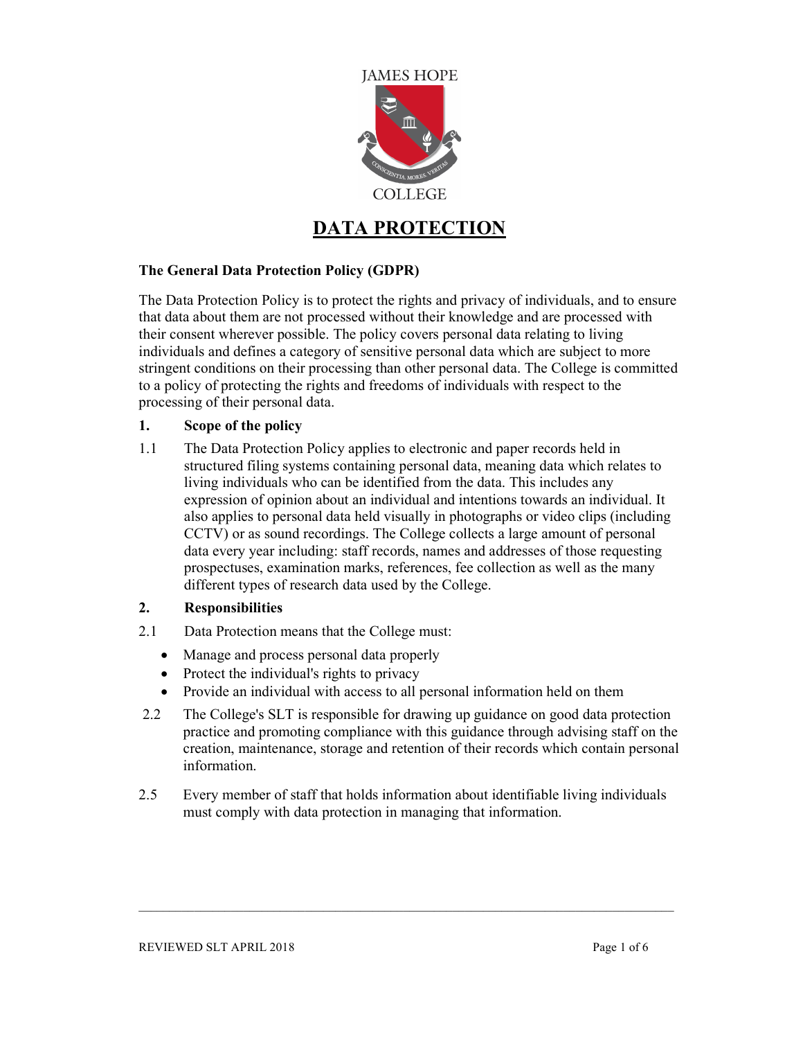

# DATA PROTECTION

## The General Data Protection Policy (GDPR)

The Data Protection Policy is to protect the rights and privacy of individuals, and to ensure that data about them are not processed without their knowledge and are processed with their consent wherever possible. The policy covers personal data relating to living individuals and defines a category of sensitive personal data which are subject to more stringent conditions on their processing than other personal data. The College is committed to a policy of protecting the rights and freedoms of individuals with respect to the processing of their personal data.

## 1. Scope of the policy

1.1 The Data Protection Policy applies to electronic and paper records held in structured filing systems containing personal data, meaning data which relates to living individuals who can be identified from the data. This includes any expression of opinion about an individual and intentions towards an individual. It also applies to personal data held visually in photographs or video clips (including CCTV) or as sound recordings. The College collects a large amount of personal data every year including: staff records, names and addresses of those requesting prospectuses, examination marks, references, fee collection as well as the many different types of research data used by the College.

#### 2. Responsibilities

- 2.1 Data Protection means that the College must:
	- Manage and process personal data properly
	- Protect the individual's rights to privacy
	- Provide an individual with access to all personal information held on them
- 2.2 The College's SLT is responsible for drawing up guidance on good data protection practice and promoting compliance with this guidance through advising staff on the creation, maintenance, storage and retention of their records which contain personal information.
- 2.5 Every member of staff that holds information about identifiable living individuals must comply with data protection in managing that information.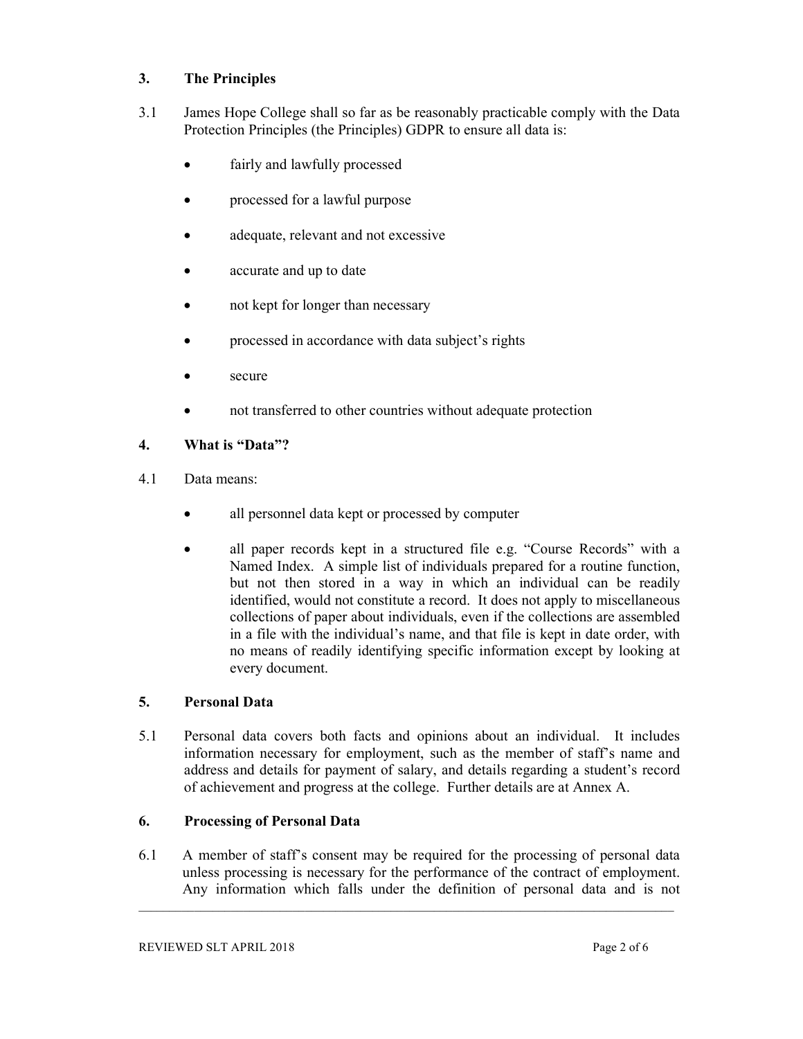# 3. The Principles

- 3.1 James Hope College shall so far as be reasonably practicable comply with the Data Protection Principles (the Principles) GDPR to ensure all data is:
	- fairly and lawfully processed
	- processed for a lawful purpose
	- adequate, relevant and not excessive
	- accurate and up to date
	- not kept for longer than necessary
	- processed in accordance with data subject's rights
	- secure
	- not transferred to other countries without adequate protection

# 4. What is "Data"?

- 4.1 Data means:
	- all personnel data kept or processed by computer
	- all paper records kept in a structured file e.g. "Course Records" with a Named Index. A simple list of individuals prepared for a routine function, but not then stored in a way in which an individual can be readily identified, would not constitute a record. It does not apply to miscellaneous collections of paper about individuals, even if the collections are assembled in a file with the individual's name, and that file is kept in date order, with no means of readily identifying specific information except by looking at every document.

## 5. Personal Data

5.1 Personal data covers both facts and opinions about an individual. It includes information necessary for employment, such as the member of staff's name and address and details for payment of salary, and details regarding a student's record of achievement and progress at the college. Further details are at Annex A.

# 6. Processing of Personal Data

6.1 A member of staff's consent may be required for the processing of personal data unless processing is necessary for the performance of the contract of employment. Any information which falls under the definition of personal data and is not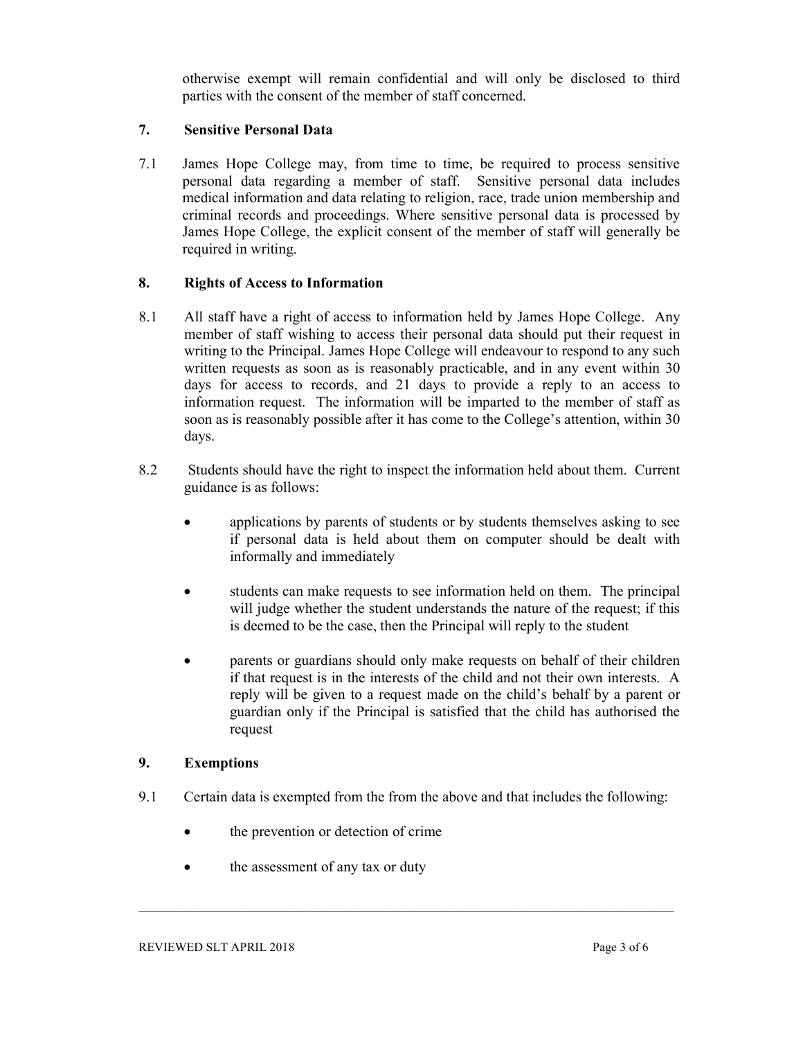otherwise exempt will remain confidential and will only be disclosed to third parties with the consent of the member of staff concerned.

## 7. Sensitive Personal Data

7.1 James Hope College may, from time to time, be required to process sensitive personal data regarding a member of staff. Sensitive personal data includes medical information and data relating to religion, race, trade union membership and criminal records and proceedings. Where sensitive personal data is processed by James Hope College, the explicit consent of the member of staff will generally be required in writing.

## 8. Rights of Access to Information

- 8.1 All staff have a right of access to information held by James Hope College. Any member of staff wishing to access their personal data should put their request in writing to the Principal. James Hope College will endeavour to respond to any such written requests as soon as is reasonably practicable, and in any event within 30 days for access to records, and 21 days to provide a reply to an access to information request. The information will be imparted to the member of staff as soon as is reasonably possible after it has come to the College's attention, within 30 days.
- 8.2 Students should have the right to inspect the information held about them. Current guidance is as follows:
	- applications by parents of students or by students themselves asking to see if personal data is held about them on computer should be dealt with informally and immediately
	- students can make requests to see information held on them. The principal will judge whether the student understands the nature of the request; if this is deemed to be the case, then the Principal will reply to the student
	- parents or guardians should only make requests on behalf of their children if that request is in the interests of the child and not their own interests. A reply will be given to a request made on the child's behalf by a parent or guardian only if the Principal is satisfied that the child has authorised the request

#### 9. Exemptions

- 9.1 Certain data is exempted from the from the above and that includes the following:
	- the prevention or detection of crime
	- the assessment of any tax or duty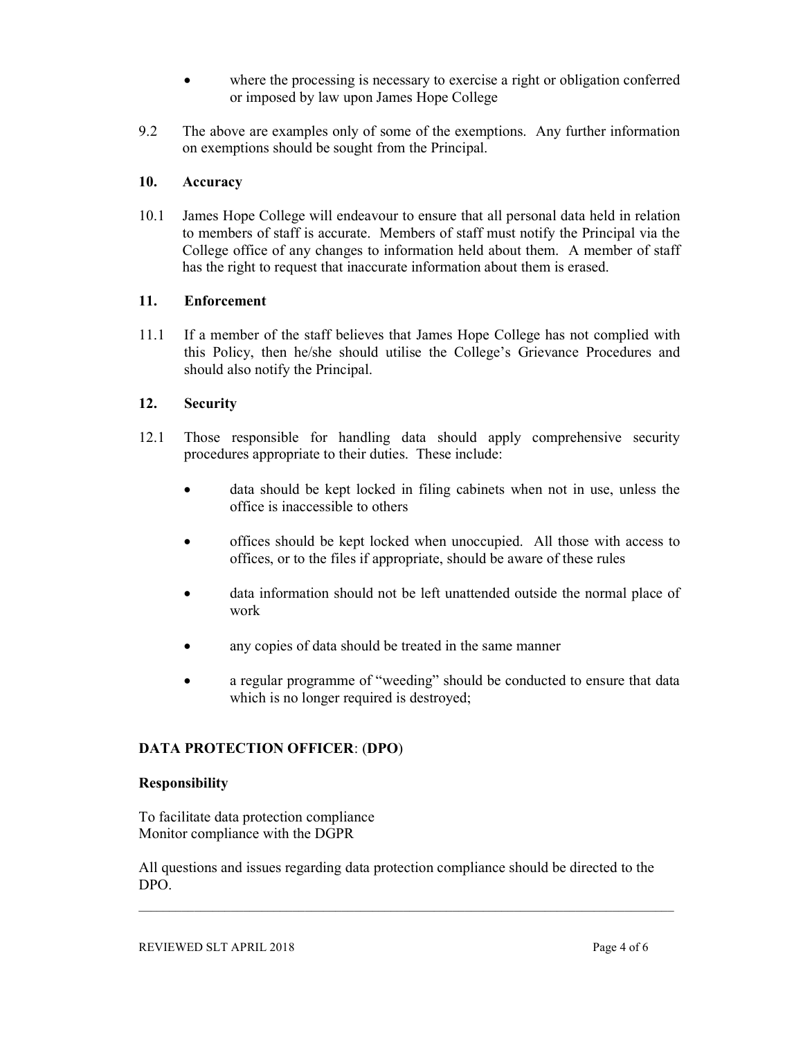- where the processing is necessary to exercise a right or obligation conferred or imposed by law upon James Hope College
- 9.2 The above are examples only of some of the exemptions. Any further information on exemptions should be sought from the Principal.

## 10. Accuracy

10.1 James Hope College will endeavour to ensure that all personal data held in relation to members of staff is accurate. Members of staff must notify the Principal via the College office of any changes to information held about them. A member of staff has the right to request that inaccurate information about them is erased.

## 11. Enforcement

11.1 If a member of the staff believes that James Hope College has not complied with this Policy, then he/she should utilise the College's Grievance Procedures and should also notify the Principal.

## 12. Security

- 12.1 Those responsible for handling data should apply comprehensive security procedures appropriate to their duties. These include:
	- data should be kept locked in filing cabinets when not in use, unless the office is inaccessible to others
	- offices should be kept locked when unoccupied. All those with access to offices, or to the files if appropriate, should be aware of these rules
	- data information should not be left unattended outside the normal place of work
	- any copies of data should be treated in the same manner
	- a regular programme of "weeding" should be conducted to ensure that data which is no longer required is destroyed;

#### DATA PROTECTION OFFICER: (DPO)

#### Responsibility

To facilitate data protection compliance Monitor compliance with the DGPR

All questions and issues regarding data protection compliance should be directed to the DPO.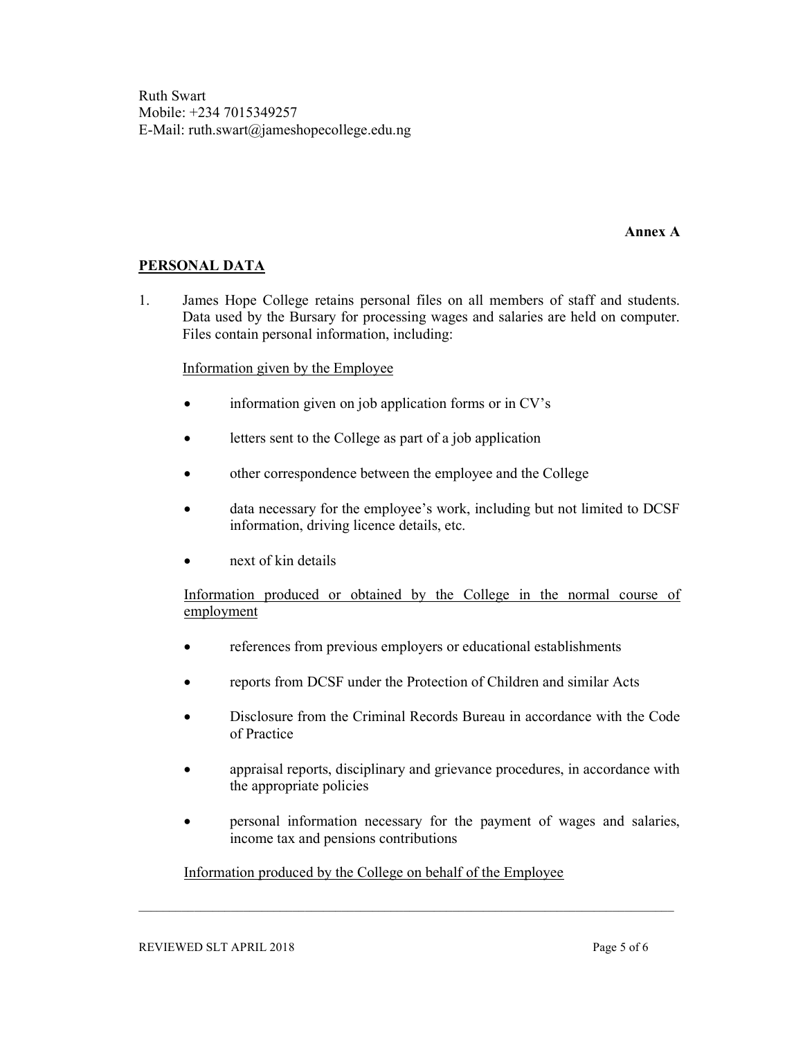Ruth Swart Mobile: +234 7015349257 E-Mail: ruth.swart@jameshopecollege.edu.ng

#### Annex A

## PERSONAL DATA

1. James Hope College retains personal files on all members of staff and students. Data used by the Bursary for processing wages and salaries are held on computer. Files contain personal information, including:

#### Information given by the Employee

- information given on job application forms or in CV's
- letters sent to the College as part of a job application
- other correspondence between the employee and the College
- data necessary for the employee's work, including but not limited to DCSF information, driving licence details, etc.
- next of kin details

Information produced or obtained by the College in the normal course of employment

- references from previous employers or educational establishments
- reports from DCSF under the Protection of Children and similar Acts
- Disclosure from the Criminal Records Bureau in accordance with the Code of Practice
- appraisal reports, disciplinary and grievance procedures, in accordance with the appropriate policies
- personal information necessary for the payment of wages and salaries, income tax and pensions contributions

#### Information produced by the College on behalf of the Employee